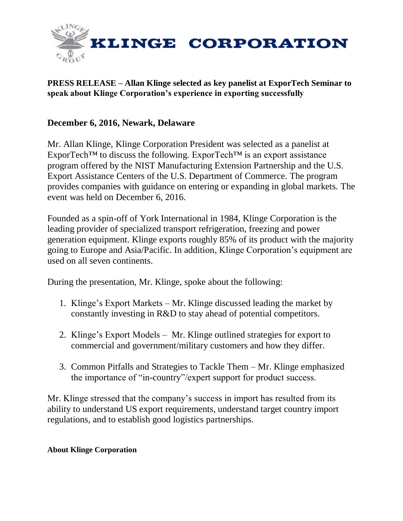

## **PRESS RELEASE – Allan Klinge selected as key panelist at ExporTech Seminar to speak about Klinge Corporation's experience in exporting successfully**

## **December 6, 2016, Newark, Delaware**

Mr. Allan Klinge, Klinge Corporation President was selected as a panelist at ExporTech™ to discuss the following. ExporTech™ is an export assistance program offered by the NIST Manufacturing Extension Partnership and the U.S. Export Assistance Centers of the U.S. Department of Commerce. The program provides companies with guidance on entering or expanding in global markets. The event was held on December 6, 2016.

Founded as a spin-off of York International in 1984, Klinge Corporation is the leading provider of specialized transport refrigeration, freezing and power generation equipment. Klinge exports roughly 85% of its product with the majority going to Europe and Asia/Pacific. In addition, Klinge Corporation's equipment are used on all seven continents.

During the presentation, Mr. Klinge, spoke about the following:

- 1. Klinge's Export Markets Mr. Klinge discussed leading the market by constantly investing in R&D to stay ahead of potential competitors.
- 2. Klinge's Export Models Mr. Klinge outlined strategies for export to commercial and government/military customers and how they differ.
- 3. Common Pitfalls and Strategies to Tackle Them Mr. Klinge emphasized the importance of "in-country"/expert support for product success.

Mr. Klinge stressed that the company's success in import has resulted from its ability to understand US export requirements, understand target country import regulations, and to establish good logistics partnerships.

## **About Klinge Corporation**